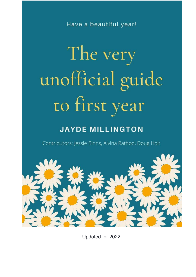Have a beautiful year!

# The very unofficial guide to first year

# **JAYDE MILLINGTON**

Contributors: Jessie Binns, Alvina Rathod, Doug Holt



Updated for 2022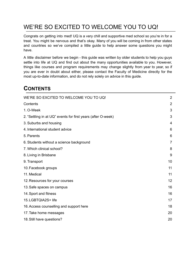# <span id="page-1-0"></span>WE'RE SO EXCITED TO WELCOME YOU TO UQ!

Congrats on getting into med! UQ is a very chill and supportive med school so you're in for a treat. You might be nervous and that's okay. Many of you will be coming in from other states and countries so we've compiled a little guide to help answer some questions you might have.

A little disclaimer before we begin - this guide was written by older students to help you guys settle into life at UQ and find out about the many opportunities available to you. However, things like courses and program requirements may change slightly from year to year, so if you are ever in doubt about either, please contact the Faculty of Medicine directly for the most up-to-date information, and do not rely solely on advice in this guide.

# <span id="page-1-1"></span>**CONTENTS**

| WE'RE SO EXCITED TO WELCOME YOU TO UQ!                       | $\overline{2}$ |
|--------------------------------------------------------------|----------------|
| Contents                                                     | $\overline{2}$ |
| 1. O-Week                                                    | 3              |
| 2. "Settling in at UQ" events for first years (after O-week) | 3              |
| 3. Suburbs and housing                                       | 4              |
| 4. International student advice                              | 6              |
| 5. Parents                                                   | 6              |
| 6. Students without a science background                     | 7              |
| 7. Which clinical school?                                    | 8              |
| 8. Living in Brisbane                                        | 9              |
| 9. Transport                                                 | 10             |
| 10. Facebook groups                                          | 11             |
| 11. Medical                                                  | 11             |
| 12. Resources for your courses                               | 12             |
| 13. Safe spaces on campus                                    | 16             |
| 14. Sport and fitness                                        | 16             |
| 15. LGBTQIA2S+ life                                          | 17             |
| 16. Access counselling and support here                      | 18             |
| 17. Take home messages                                       | 20             |
| 18. Still have questions?                                    | 20             |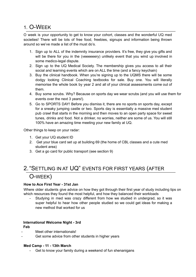### <span id="page-2-0"></span>1. O-WEEK

O week is your opportunity to get to know your cohort, classes and the wonderful UQ med societies! There will be lots of free food, freebies, signups and information being thrown around so we've made a list of the must do's.

- 1. Sign up to ALL of the indemnity insurance providers. It's free, they give you gifts and will be there for you in the (veeeeeery) unlikely event that you wind up involved in some medico-legal dispute.
- 2. Sign up to the UQ Medical Society. The membership gives you access to all their social and learning events which are on ALL the time (and a fancy keychain)
- 3. Buy the clinical handbook. When you're signing up to the UQMS there will be some dodgy looking Clinical Coaching textbooks for sale. Buy one. You will literally memorise the whole book by year 2 and all of your clinical assessments come out of them.
- 4. Buy some scrubs. Why? Because on sports day we wear scrubs (and you will use them for events over the next 3 years!).
- 5. Go to SPORTS DAY! Before you dismiss it, there are no sports on sports day, except for a sneaky jumping castle or two. Sports day is essentially a massive med student pub crawl that starts in the morning and then moves to an open party space for sweet tunes, drinks and food. Not a drinker, no worries, neither are some of us. You will still 100% have an amazing time meeting your new family at UQ.

Other things to keep on your radar:

- 1. Get your UQ student ID
- 2. Get your blue card set up at building 69 (the home of CBL classes and a cute med student area)
- 3. Get a go card for public transport (see section 9)

# <span id="page-2-1"></span>2."SETTLING IN AT UQ" EVENTS FOR FIRST YEARS (AFTER

# O-WEEK)

#### **How to Ace First Year - 31st Jan**

Where older students give advice on how they got through their first year of study including tips on which resources they found the most helpful, and how they balanced their workloads

Studying in med was crazy different from how we studied in undergrad, so it was super helpful to hear how other people studied so we could get ideas for making a new method that worked for us

#### **International Welcome Night - 3rd**

**Feb**

- Meet other internationals!
- Get some advice from other students in higher years

#### **Med Camp - 11 - 13th March**

Get to know your family during a weekend of fun shenanigans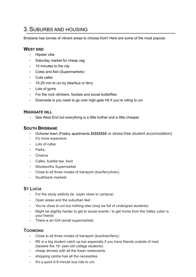# <span id="page-3-0"></span>3.SUBURBS AND HOUSING

Brisbane has tonnes of vibrant areas to choose from! Here are some of the most popular.

#### **WEST END**

- Hipster vibe
- Saturday market for cheap veg
- 10 minutes to the city
- Coles and Aldi (Supermarkets)
- Cute cafes
- 10-25 min to uni by bike/bus or ferry
- Lots of gyms
- For the rock climbers, foodies and social butterflies
- Downside is you need to go over high-gate hill if you're riding to uni

#### **HIGHGATE HILL**

- See West End but everything is a little further and a little cheaper

#### **SOUTH BRISBANE**

- Ochsner town (Flashy apartments \$\$\$\$\$\$\$\$\$ or stress-free student accomodation)
- It's more expensive
- Lots of cafes
- **Parks**
- Cinema
- Cafes, bubble tea, food
- Woolworths Supermarket
- Close to all three modes of transport (bus/ferry/train)
- Southbank markets

#### **ST LUCIA**

- For the study addicts (ie. super close to campus)
- Open areas and the suburban feel
- You're close to uni but nothing else (may be full of undergrad students)
- Might be slightly harder to get to social events / to get home from the Valley (uber is your friend)
- There is an IGA (small supermarket)

#### **TOOWONG**

- Close to all three modes of transport (bus/train/ferry)
- RE is a big student catch up bar especially if you have friends outside of med (beware the 18- year-old college students)
- cheap dinners with all the Asian restaurants
- shopping centre has all the necessities
- It's a quick 6-8 minute bus ride to uni.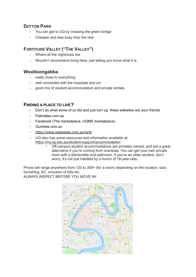#### **DUTTON PARK**

- You can get to UQ by crossing the green bridge
- Cheaper and less busy than the rest

#### **FORTITUDE VALLEY ("THE VALLEY")**

- Where all the nightclubs are
- Wouldn't recommend living here, just letting you know what it is

#### **Woolloongabba**

- really close to everything
- well connected with the hospitals and uni
- good mix of student accommodation and private rentals.

#### **FINDING A PLACE TO LIVE?**

- Don't do what some of us did and just turn up, these websites are your friends
- Flatmates.com.au
- Facebook (The marketplace, UQMS marketplace)
- Gumtree.com.au
- <https://www.realestate.com.au/rent/>
- UQ also has some resources and information available at: <https://my.uq.edu.au/student-support/accommodation>
	- Off-campus student accommodations are privately owned, and are a great alternative if you're coming from overseas. You can get your own private room with a kitchenette and bathroom. If you're an older student, don't worry, it's not just habitted by a bunch of 18-year-olds…

Prices will range anywhere from 120 to 300+ (for a room) depending on the location, size, furnishing, AC, inclusion of bills etc. ALWAYS INSPECT BEFORE YOU MOVE IN!

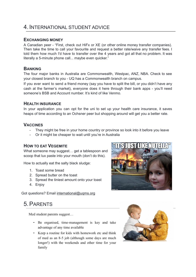# <span id="page-5-0"></span>4.INTERNATIONAL STUDENT ADVICE

#### **EXCHANGING MONEY**

A Canadian peer - "First, check out HiFx or XE (or other online money transfer companies). Then take the time to call your favourite and request a better rate/waive any transfer fees. I told them how much I'd have to transfer over the 4 years and got all that no problem. It was literally a 5-minute phone call... maybe even quicker."

#### **BANKING**

The four major banks in Australia are Commonwealth, Westpac, ANZ, NBA. Check to see your closest branch to you - UQ has a Commonwealth branch on campus.

If you ever want to send a friend money (say you have to split the bill, or you didn't have any cash at the farmer's market), everyone does it here through their bank apps - you'll need someone's BSB and Account number. It's kind of like Venmo.

#### **HEALTH INSURANCE**

In your application you can opt for the uni to set up your health care insurance, it saves heaps of time according to an Ochsner peer but shopping around will get you a better rate.

#### **VACCINES**

- They might be free in your home country or province so look into it before you leave
- Or it might be cheaper to wait until you're in Australia

#### **HOW TO EAT VEGEMITE**

What someone may suggest… get a tablespoon and scoop that lux paste into your mouth (don't do this).

How to actually eat the salty black sludge:

- 1. Toast some bread
- 2. Spread butter on the toast
- 3. Spread the tiniest amount onto your toast
- 4. Enjoy

Got questions? Email [international@uqms.org](mailto:international@uqms.org)

# TIKY ITK

# 5.PARENTS

Med student parents suggest...

- Be organised, time-management is key and take advantage of any time available
- Keep a routine for kids with homework etc and think of med as an 8-5 job (although some days are much longer!) with the weekends and other time for your family

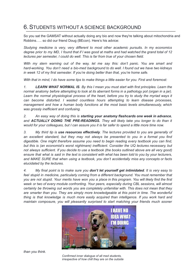# <span id="page-6-0"></span>6.STUDENTS WITHOUT A SCIENCE BACKGROUND

So you sat the GAMSAT without actually doing any bio and now they're talking about mitochondria and Robbins….. so did our friend Doug (BEcon). Here's his advice:

*Studying medicine is very, very different to most other academic pursuits. In my economics* degree prior to my MD, I found that if I was good at maths and had watched the grand total of 12 *lectures per semester, I could do well. This is far from true of your chosen field.*

*With my stern warning out of the way, let me say this: don't panic. You are smart and hard-working. You don't need a bio-med background to do well. I found out we have two kidneys in week 12 of my first semester. If you're doing better than that, you're home safe.*

*With that in mind, I do have some tips to make things a little easier for you. First and foremost:*

*1. LEARN WHAT NORMAL IS. By this I mean you must start with first principles. Learn the* normal anatomy before attempting to look at its aberrant forms in a pathology pot (organ in a jar). *Learn the normal physiological process of the heart, before you try to study the myriad ways it can become distorted. I wasted countless hours attempting to learn disease processes, management and how a human body functions at the most basic levels simultaneously, which was grossly inefficient and confusing.*

*2. An easy way of doing this is starting your anatomy flashcards one week in advance, and ACTUALLY DOING THE PRE-READINGS. They will likely take you longer to do than it would for your colleagues, but I can assure you it is far safer to spend a little more time now.*

*3. My third tip is use resources effectively. The lectures provided to you are generally of an excellent standard, but they may not always be presented to you in a format you find digestible. One might therefore assume you need to begin reading every textbook you can find, but this is (an economist's worst nightmare) inefficient. Consider the UQ lectures necessary, but* not always sufficient. If you decide to use a textbook (the books outlined aboye are all yery good) ensure that what is said in the text is consistent with what has been told to you by your lecturers. *and MAKE SURE that when using a textbook, you don't accidentally miss any concepts or facts elucidated by the lectures.*

4. My final point is to make sure you **don't let yourself get intimidated**. It is very easy to *feel stupid in medicine, particularly coming from a different background. You must remember that* you are not stupid. Your merits have won you a place in this program. You will likely find the first *week or two of every module confronting. Your peers, especially during CBL sessions, will almost certainly be throwing out words you are completely unfamiliar with. This does not mean that they are smarter than you. They are simply more knowledgeable at this point in time. The wonderful thing is that knowledge is much more easily acquired than intelligence. If you work hard and maintain composure, you will pleasantly surprised to start matching your friends much sooner*



*than you think.*

*Confirmed inner dialogue of all med students, irrespective of how chill they are on the outside*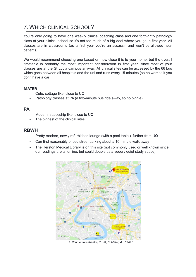# <span id="page-7-0"></span>7.WHICH CLINICAL SCHOOL?

You're only going to have one weekly clinical coaching class and one fortnightly pathology class at your clinical school so it's not too much of a big deal where you go in first year. All classes are in classrooms (as a first year you're an assassin and won't be allowed near patients).

We would recommend choosing one based on how close it is to your home, but the overall timetable is probably the most important consideration in first year, since most of your classes are at the St Lucia campus anyway. All clinical sites can be accessed by the 66 bus which goes between all hospitals and the uni and runs every 15 minutes (so no worries if you don't have a car).

#### **MATER**

- Cute, cottage-like, close to UQ
- Pathology classes at PA (a two-minute bus ride away, so no biggie)

#### **PA**

- Modern, spaceship-like, close to UQ
- The biggest of the clinical sites

#### **RBWH**

- Pretty modern, newly refurbished lounge (with a pool table!), further from UQ
- Can find reasonably priced street parking about a 10-minute walk away
- The Herston Medical Library is on this site (not commonly used or well known since our readings are all online, but could double as a veeery quiet study space)



*1. Your lecture theatre, 2. PA, 3. Mater, 4. RBWH*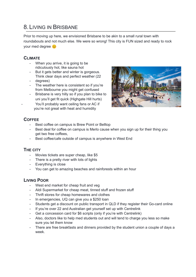# <span id="page-8-0"></span>8.LIVING IN BRISBANE

Prior to moving up here, we envisioned Brisbane to be akin to a small rural town with roundabouts and not much else. We were so wrong! This city is FUN sized and ready to rock your med degree

#### **CLIMATE**

- When you arrive, it is going to be ridiculously hot, like sauna hot
- But it gets better and winter is gorgeous. Think clear days and perfect weather (22
- degrees)
- The weather here is consistent so if you're from Melbourne you might get confused
- Brisbane is very hilly so if you plan to bike to uni you'll get fit quick (Highgate Hill hurts) You'll probably want ceiling fans or AC if you're not great with heat and humidity



#### **COFFEE**

- Best coffee on campus is Brew Point or Belltop
- Best deal for coffee on campus is Merlo cause when you sign up for their thing you get two free coffees,
- Best coffee/cafe outside of campus is anywhere in West End

#### **THE CITY**

- Movies tickets are super cheap, like \$5
- There is a pretty river with lots of lights
- Everything is close
- You can get to amazing beaches and rainforests within an hour

#### **LIVING POOR**

- West end market for cheap fruit and veg
- Aldi Supermarket for cheap meat, tinned stuff and frozen stuff
- Thrift stores for cheap homewares and clothes
- In emergencies, UQ can give you a \$250 loan
- Students get a discount on public transport in QLD if they register their Go-card online
- If you're over 22 and Australian get yourself set up with Centrelink
- Get a concession card for \$6 scripts (only if you're with Centrelink)
- Also, doctors like to help med students out and will tend to charge you less so make sure you let them know
- There are free breakfasts and dinners provided by the student union a couple of days a week.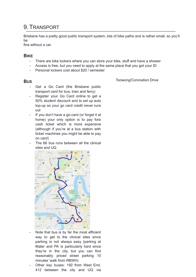# <span id="page-9-0"></span>9.TRANSPORT

Brisbane has a pretty good public transport system, lots of bike paths and is rather small, so you'll be

fine without a car.

#### **BIKE**

- There are bike lockers where you can store your bike, stuff and have a shower
- Access is free, but you need to apply at the same place that you got your ID
- Personal lockers cost about \$20 / semester

#### **BUS**

Toowong/Coronation Drive

- Get a Go Card (the Brisbane public transport card for bus, train and ferry)
- Register your Go Card online to get a 50% student discount and to set up auto top-up so your go card credit never runs out
- If you don't have a go-card (or forget it at home) your only option is to pay fora cash ticket which is more expensive (although if you're at a bus station with ticket machines you might be able to pay on card)
- The 66 bus runs between all the clinical sites and UQ



- Note that bus is by far the most efficient way to get to the clinical sites since parking is not always easy (parking at Mater and PA is particularly hard since they're in the city, but you can find reasonably priced street parking 10 minutes' walk from RBWH)
- Other key buses: 192 from West End, 412 between the city and UQ via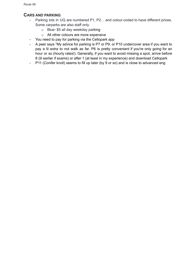#### **CARS AND PARKING**

- Parking lots in UQ are numbered P1, P2… and colour-coded to have different prices. Some carparks are also staff only.
	- o Blue- \$5 all day weekday parking
	- o All other colours are more expensive
- You need to pay for parking via the Cellopark app
- A peer says "My advice for parking is P7 or P9, or P10 undercover area if you want to pay a lil extra to not walk as far. P6 is pretty convenient if you're only going for an hour or so (hourly rates!). Generally, if you want to avoid missing a spot, arrive before 8 (lil earlier if exams) or after 1 (at least in my experience) and download Cellopark
- P11 (Conifer knoll) seems to fill up later (by 9 or so) and is close to advanced eng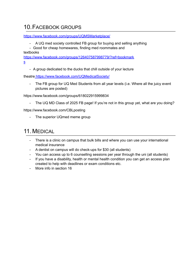# <span id="page-11-0"></span>10.FACEBOOK GROUPS

<https://www.facebook.com/groups/UQMSMarketplace/>

- A UQ med society controlled FB group for buying and selling anything
- Good for cheap homewares, finding med roommates and

textbooks

[https://www.facebook.com/groups/126407587998779/?ref=bookmark](https://www.facebook.com/groups/126407587998779/?ref=bookmarks) [s](https://www.facebook.com/groups/126407587998779/?ref=bookmarks)

- A group dedicated to the ducks that chill outside of your lecture

theatre <https://www.facebook.com/UQMedicalSociety/>

- The FB group for UQ Med Students from all year levels (i.e. Where all the juicy event pictures are posted)

https://www.facebook.com/groups/618022915999834

The UQ MD Class of 2025 FB page! If you're not in this group yet, what are you doing?

https://www.facebook.com/CBLposting

- The superior UQmed meme group

# <span id="page-11-1"></span>11. MEDICAL

- There is a clinic on campus that bulk bills and where you can use your international medical insurance
- A dentist on campus will do check-ups for \$30 (all students)
- You can access up to 6 counselling sessions per year through the uni (all students)
- If you have a disability, health or mental health condition you can get an access plan created to help with deadlines or exam conditions etc.
- More info in section 16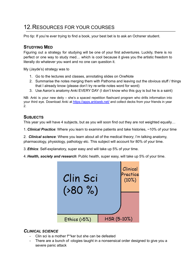# <span id="page-12-0"></span>12.RESOURCES FOR YOUR COURSES

Pro tip: If you're ever trying to find a book, your best bet is to ask an Ochsner student.

#### **STUDYING MED**

Figuring out a strategy for studying will be one of your first adventures. Luckily, there is no perfect or one way to study med… which is cool because it gives you the artistic freedom to literally do whatever you want and no one can question it.

My (Jayde's) strategy was to

- 1. Go to the lectures and classes, annotating slides on OneNote
- 2. Summarise the notes merging them with Pathoma and leaving out the obvious stuff / things that I already know (please don't try re-write notes word for word)
- 3. Use Aaron's anatomy Anki EVERY DAY (I don't know who this guy is but he is a saint)

NB: Anki is your new deity – she's a spaced repetition flashcard program who drills information into your third eye. Download Anki at <https://apps.ankiweb.net/> and collect decks from your friends in year 2.

#### **SUBJECTS**

This year you will have 4 subjects, but as you will soon find out they are not weighted equally…

1. *Clinical Practice*: Where you learn to examine patients and take histories, ~10% of your time

2. *Clinical science*: Where you learn about all of the medical theory; I'm talking anatomy, pharmacology, physiology, pathology etc. This subject will account for 80% of your time.

- 3. *Ethics*: Self-explanatory, super easy and will take up 5% of your time.
- 4. *Health, society and research*: Public health, super easy, will take up 5% of your time.



#### *CLINICAL SCIENCE*

- Clin sci is a mother f\*\*ker but she can be defeated
- There are a bunch of -ologies taught in a nonsensical order designed to give you a severe panic attack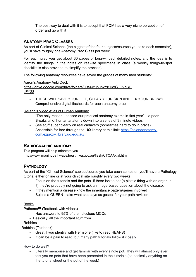- The best way to deal with it is to accept that FOM has a very niche perception of order and go with it

#### **ANATOMY PRAC CLASSES**

As part of Clinical Science (the biggest of the four subjects/courses you take each semester), you'll have roughly one Anatomy Prac Class per week.

For each prac you get about 30 pages of long-winded, detailed notes, and the idea is to identify the things in the notes on real-life specimens in class (a weekly things-to-spot checklist is also provided to simplify the process).

The following anatomy resources have saved the grades of many med students:

Aaron's Anatomy Anki Deck

[https://drive.google.com/drive/folders/0B56c1jnuh2Y8TkxGTTVqRE](https://drive.google.com/drive/folders/0B56c1jnuh2Y8TkxGTTVqREdFY28) [dFY28](https://drive.google.com/drive/folders/0B56c1jnuh2Y8TkxGTTVqREdFY28)

- THESE WILL SAVE YOUR LIFE, CLEAR YOUR SKIN AND FIX YOUR BROWS
- Comprehensive digital flashcards for each anatomy prac

#### Acland's Video Atlas of Human Anatomy

- "The only reason I passed our practical anatomy exams in first year" a peer
- Breaks all of human anatomy down into a series of 3 minute videos
- See stuff super clearly on real cadavers (sometimes hard to do in pracs)
- Accessible for free through the UQ library at this link: [https://aclandanatomy](https://aclandanatomy-com.ezproxy.library.uq.edu.au/)[com.ezproxy.library.uq.edu.au/](https://aclandanatomy-com.ezproxy.library.uq.edu.au/)

#### **RADIOGRAPHIC ANATOMY**

This program will help orientate you… <http://www.imagingpathways.health.wa.gov.au/flash/CTCAAxial.html>

#### **PATHOLOGY**

As part of the "Clinical Science" subject/course you take each semester, you'll have a Pathology tutorial either online or at your clinical site roughly every two weeks.

- Focus on the tutorials and the pots. If there isn't a pot (a plastic thing with an organ in it) they're probably not going to ask an image-based question about the disease.
- If they mention a disease know the inheritance pattern/genes involved
- Suja is a QUEEN take what she says as gospel for your path revision

#### **Books**

Pathoma!!! (Textbook with videos)

- Has answers to 95% of the ridiculous MCQs
- Basically, all the important stuff from

#### Robbins

Robbins (Textbook)

- Great if you identify with Hermione (like to read HEAPS)
- It can be a pain to read, but many path tutorials follow it closely

#### How to do well?

Literally memorise and get familiar with every single pot. They will almost only ever test you on pots that have been presented in the tutorials (so basically anything on the tutorial sheet or the pot of the week)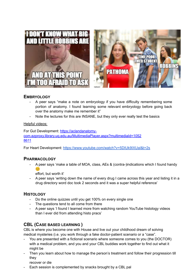

#### **EMBRYOLOGY**

- A peer says "make a note on embryology if you have difficulty remembering some portion of anatomy. I found learning some relevant embryology before going back over the anatomy make me remember it"
- Note the lectures for this are INSANE, but they only ever really test the basics

#### Helpful videos:

For Gut Development: [https://aclandanatomy](https://aclandanatomy-com.ezproxy.library.uq.edu.au/MultimediaPlayer.aspx?multimediaId=10528611)[com.ezproxy.library.uq.edu.au/MultimediaPlayer.aspx?multimediaId=1052](https://aclandanatomy-com.ezproxy.library.uq.edu.au/MultimediaPlayer.aspx?multimediaId=10528611) [8611](https://aclandanatomy-com.ezproxy.library.uq.edu.au/MultimediaPlayer.aspx?multimediaId=10528611)

For Heart Development: <https://www.youtube.com/watch?v=5DIUk9IXUaI&t=2s>

#### **PHARMACOLOGY**

- A peer says 'make a table of MOA, class, AEs & (contra-)indications which I found handy  $\mathbf{C}$ 

effort, but worth it'

A peer says 'writing down the name of every drug I came across this year and listing it in a drug directory word doc took 2 seconds and it was a super helpful reference'

#### **HISTOLOGY**

- Do the online quizzes until you get 100% on every single one
- The questions tend to all come from there
- A peer says 'I found I learned more from watching random YouTube histology videos than I ever did from attending histo pracs'

#### **CBL (CASE BASED LEARNING )**

CBL is where you become one with House and live out your childhood dream of solving medical mysteries (i.e. you work through a fake doctor-patient scenario or a "case".

- You are presented with a fictional scenario where someone comes to you (the DOCTOR) with a medical problem, and you and your CBL buddies work together to find out what it might be
- Then you learn about how to manage the person's treatment and follow their progression till they

recover or die

Each session is complemented by snacks brought by a CBL pal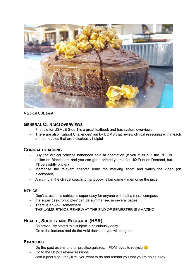

A typical CBL treat

#### **GENERAL CLIN SCI OVERVIEWS**

- First aid for USMLE Step 1 is a great textbook and has system overviews
- There are also 'Kahoot Challenges' run by UQMS that review clinical reasoning within each of the modules that are ridiculously helpful

#### **CLINICAL COACHING**

- Buy the clinical practice handbook sold at orientation (if you miss out, the PDF is online on Blackboard and you can get it printed yourself at UQ Print on Demand, but it'll be slightly pricier)
- Memorise the relevant chapter, learn the marking sheet and watch the video (on blackboard)
- Anything in the clinical coaching handbook is fair game memorise the juice

#### **ETHICS**

- Don't stress, this subject is super easy for anyone with half a moral compass
- the super basic 'principles' can be summarised in several pages
- There is an Anki somewhere
- THE UQMS ETHICS REVIEW AT THE END OF SEMESTER IS AMAZING

#### **HEALTH, SOCIETY AND RESEARCH (HSR)**

- As previously stated this subject is ridiculously easy
- Go to the lectures and do the Anki deck and you will do great

#### **EXAM TIPS**

- Do the past exams and all practice quizzes... FOM loves to recycle  $\odot$
- Go to the UQMS review sessions
- Join a peer tute they'll tell you what to do and remind you that you're doing okay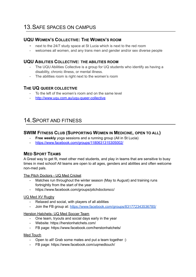# <span id="page-16-0"></span>13.SAFE SPACES ON CAMPUS

#### **UQU WOMEN'S COLLECTIVE: THE WOMEN'S ROOM**

- next to the 24/7 study space at St Lucia which is next to the red room
- welcomes all women, and any trans men and gender and/or sex diverse people

#### **UQU ABILITIES COLLECTIVE: THE ABILITIES ROOM**

- The UQU Abilities Collective is a group for UQ students who identify as having a disability, chronic illness, or mental illness.
- The abilities room is right next to the women's room

#### **THE UQ QUEER COLLECTIVE**

- To the left of the women's room and on the same level
- <http://www.uqu.com.au/uqu-queer-collective>

# <span id="page-16-1"></span>14.SPORT AND FITNESS

#### **SWIM FITNESS CLUB (SUPPORTING WOMEN IN MEDICINE, OPEN TO ALL)**

- **Free weekly** yoga sessions and a running group (All in St Lucia)
- <https://www.facebook.com/groups/1180631315305002/>

#### **MED SPORT TEAMS**

A Great way to get fit, meet other med students, and play in teams that are sensitive to busy times in med school! All teams are open to all ages, genders and abilities and often welcome non-med pals.

The Pitch Doctors - UQ Med Cricket

- Matches run throughout the [winter](https://www.facebook.com/UQMedicalSociety/inbox/?mailbox_id=208137235957604&selected_item_id=1597917288) season (May to [August](https://www.facebook.com/UQMedicalSociety/inbox/?mailbox_id=208137235957604&selected_item_id=1597917288)) and training runs fortnightly from the start of the year
- <https://www.facebook.com/groups/pitchdoctorscc/>

#### UQ Med XV Rugby

- Relaxed and social, with players of all abilities
- Join the FB group at: <https://www.facebook.com/groups/831772343536785/>

Herston Hatchets- UQ Med Soccer Team

- One team, tryouts and social days early in the year
- Website: <https://herstonhatchets.com/>
- FB page: <https://www.facebook.com/herstonhatchets/>

Med Touch

- Open to all! Grab some mates and put a team together :)
- FB page: <https://www.facebook.com/uqmedtouch/>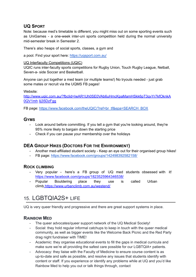#### **UQ SPORT**

Note: because med's timetable is different, you might miss out on some sporting events such as UniGames - a one-week inter-uni sports competition held during the normal university mid-semester break in Semester 2.

There's also heaps of social sports, classes, a gym and

a pool. Find your sport here: <https://uqsport.com.au/>

#### UQ Interfaculty Competitions (UQIC)

UQIC runs inter-faculty sports competitions for Rugby Union, Touch Rugby League, Netball, Seven-a- side Soccer and Basketball.

Anyone can put together a med team (or multiple teams!) No tryouts needed - just grab some mates or recruit via the UQMS FB pages!

Website:

[http://www.uqic.com.au/?fbclid=IwAR1Uh0SE0VAb6uHmcKpaMamHSkk6pT3qvYr7kfOknkA](http://www.uqic.com.au/?fbclid=IwAR1Uh0SE0VAb6uHmcKpaMamHSkk6pT3qvYr7kfOknkA0QV1mhIij35DzFgg) [0QV1mh](http://www.uqic.com.au/?fbclid=IwAR1Uh0SE0VAb6uHmcKpaMamHSkk6pT3qvYr7kfOknkA0QV1mhIij35DzFgg) [Iij35DzFgg](http://www.uqic.com.au/?fbclid=IwAR1Uh0SE0VAb6uHmcKpaMamHSkk6pT3qvYr7kfOknkA0QV1mhIij35DzFgg)

FB page: [https://www.facebook.com/theUQIC/?ref=br\\_tf&epa=SEARCH\\_BOX](https://www.facebook.com/theUQIC/?ref=br_tf&epa=SEARCH_BOX)

#### **GYMS**

- Look around before committing. If you tell a gym that you're looking around, they're 95% more likely to bargain down the starting price
- Check if you can pause your membership over the holidays

#### **DEA GROUP HIKES (DOCTORS FOR THE ENVIRONMENT)**

- Another med-affiliated student society Keep an eye out for their organised group hikes!
- FB page: <https://www.facebook.com/groups/142498392582158/>

#### **ROCK CLIMBING**

- Very popular here's a FB group of UQ med students obsessed with it[!](https://www.facebook.com/groups/1823525964346538/) <https://www.facebook.com/groups/1823525964346538/>
- Popular Bouldering place they use is called Urban climb <https://www.urbanclimb.com.au/westend/>

# <span id="page-17-0"></span>15. LGBTQIA2S+ LIFE

UQ is very queer friendly and progressive and there are great support systems in place.

#### **RAINBOW MED**

- The queer advocates/queer support network of the UQ Medical Society!
- Social: they hold regular informal catchups to keep in touch with the queer medical community, as well as bigger events like the Welcome Back Picnic and the Red Party drag night fundraiser with TIME!
- Academic: they organise educational events to fill the gaps in medical curricula and make sure we're all providing the safest care possible for our LGBTQIA+ patients.
- Advocacy: they liaise with the Faculty of Medicine to ensure course content is as up-to-date and safe as possible, and resolve any issues that students identify with content or staff. If you experience or identify any problems while at UQ and you'd like Rainbow Med to help you out or talk things through, contact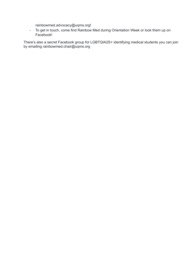rainbowmed.advocacy@uqms.org!

- To get in touch, come find Rainbow Med during Orientation Week or look them up on Facebook!

There's also a secret Facebook group for LGBTQIA2S+ identifying medical students you can join by emailing [rainbowmed.chair@uqms.org](mailto:rainbowmed.chair@uqms.org)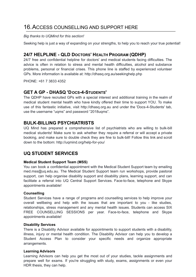# <span id="page-19-0"></span>16.ACCESS COUNSELLING AND SUPPORT HERE

*Big thanks to UQMind for this section!*

Seeking help is just a way of expanding on your strengths, to help you to reach your true potential!

#### **24/7 HELPLINE - QLD DOCTORS' HEALTH PROGRAM (QDHP)**

24/7 free and confidential helpline for doctors' and medical students facing difficulties. The advice is often in relation to stress and mental health difficulties, alcohol and substance problems, personal or financial crises. This phone line is staffed by experienced volunteer GPs. More information is available at: <http://dhasq.org.au/seekinghelp.php>

PHONE: +61 7 3833 4352

#### **GET A GP - DHASQ 'DOCS-4-STUDENTS'**

The QDHP have recruited GPs with a special interest and additional training in the realm of medical student mental health who have kindly offered their time to support YOU. To make use of this fantastic initiative, visit [http://dhasq.org.au](http://dhasq.org.au/) and under the 'Docs-4-Students' tab, use the username "uqms" and password "2018uqms".

#### **BULK-BILLING PSYCHIATRISTS**

UQ Mind has prepared a comprehensive list of psychiatrists who are willing to bulk-bill medical students! Make sure to ask whether they require a referral or will accept a private booking, and make sure to double check they are fine to bulk-bill! Follow this link and scroll down to the bottom: <http://uqmind.org/help-for-you/>

#### **UQ STUDENT SERVICES**

#### **Medical Student Support Team (MSS)**

You can book a confidential appointment with the Medical Student Support team by emailing [med.mss@uq.edu.au.](mailto:med.mss@uq.edu.au) The Medical Student Support team run workshops, provide pastoral support, can help organise disability support and disability plans, learning support, and can facilitate a referral into UQ Central Support Services. Face-to-face, telephone and Skype appointments available!

#### **Counselling**

Student Services have a range of programs and counselling services to help improve your overall wellbeing and help with the issues that are important to you - like studies, relationships, stress management and any mental health issues. Students can access SIX FREE COUNSELLING SESSIONS per year. Face-to-face, telephone and Skype appointments available!

#### **Disability Services**

There is a Disability Advisor available for appointments to support students with a disability, illness, injury or mental health condition. The Disability Advisor can help you to develop a Student Access Plan to consider your specific needs and organize appropriate arrangements.

#### **Learning Advisors**

Learning Advisors can help you get the most out of your studies, tackle assignments and prepare well for exams. If you're struggling with study, exams, assignments or even your HDR thesis, they can help.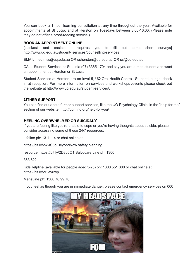You can book a 1-hour learning consultation at any time throughout the year. Available for appointments at St Lucia, and at Herston on Tuesdays between 8:00-16:00. (Please note they do not offer a proof-reading service.)

#### **BOOK AN APPOINTMENT ONLINE**

[quickest and easiest - requires you to fill out some short surveys] <http://www.uq.edu.au/student-> services/counselling-services

EMAIL [med.mss@uq.edu.au](mailto:med.mss@uq.edu.au) OR [ssherston@uq.edu.au](mailto:ssherston@uq.edu.au) OR [ss@uq.edu.au](mailto:ss@uq.edu.au)

CALL Student Services at St Lucia (07) 3365 1704 and say you are a med student and want an appointment at Herston or St Lucia.

Student Services at Herston are on level 5, UQ Oral Health Centre - Student Lounge, check in at reception. For more information on services and workshops /events please check out the website at [http://www.uq.edu.au/student-services/.](http://www.uq.edu.au/student-services/)

#### **OTHER SUPPORT**

You can find out about further support services, like the UQ Psychology Clinic, in the "help for me" section of our website: <http://uqmind.org/help-for-you/>

#### **FEELING OVERWHELMED OR SUICIDAL?**

If you are feeling like you're unable to cope or you're having thoughts about suicide, please consider accessing some of these 24/7 resources:

Lifeline ph: 13 11 14 or chat online at

https://bit.ly/2wiJS6b BeyondNow safety planning

resource: https://bit.ly/2D3d0O1 Salvocare Line ph: 1300

363 622

KidsHelpline (available for people aged 5-25) ph: 1800 551 800 or chat online at https://bit.ly/2HWXIwp

MensLine ph: 1300 78 99 78

If you feel as though you are in immediate danger, please contact emergency services on 000